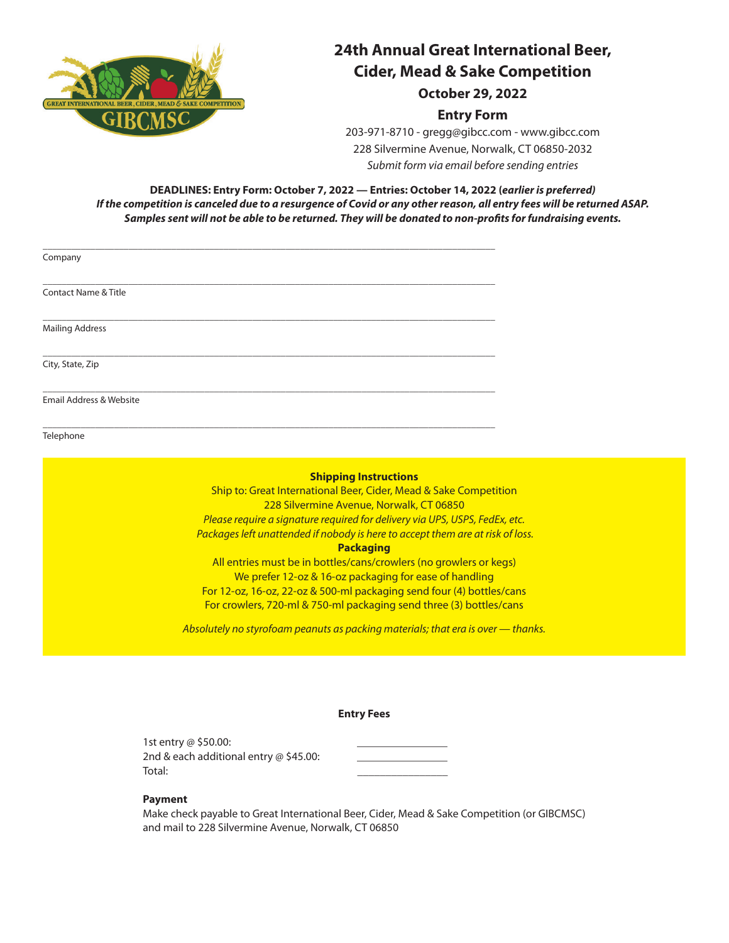

### **24th Annual Great International Beer, Cider, Mead & Sake Competition October 29, 2022**

### **Entry Form**

203-971-8710 - gregg@gibcc.com - www.gibcc.com 228 Silvermine Avenue, Norwalk, CT 06850-2032 *Submit form via email before sending entries*

**DEADLINES: Entry Form: October 7, 2022 — Entries: October 14, 2022 (***earlier is preferred) If the competition is canceled due to a resurgence of Covid or any other reason, all entry fees will be returned ASAP. Samples sent will not be able to be returned. They will be donated to non-profits for fundraising events.*

| Company                         |  |  |  |
|---------------------------------|--|--|--|
| <b>Contact Name &amp; Title</b> |  |  |  |
| <b>Mailing Address</b>          |  |  |  |
| City, State, Zip                |  |  |  |

\_\_\_\_\_\_\_\_\_\_\_\_\_\_\_\_\_\_\_\_\_\_\_\_\_\_\_\_\_\_\_\_\_\_\_\_\_\_\_\_\_\_\_\_\_\_\_\_\_\_\_\_\_\_\_\_\_\_\_\_\_\_\_\_\_\_\_\_\_\_\_\_\_\_\_\_\_\_\_\_\_\_\_\_\_\_\_\_\_\_\_\_\_\_\_

\_\_\_\_\_\_\_\_\_\_\_\_\_\_\_\_\_\_\_\_\_\_\_\_\_\_\_\_\_\_\_\_\_\_\_\_\_\_\_\_\_\_\_\_\_\_\_\_\_\_\_\_\_\_\_\_\_\_\_\_\_\_\_\_\_\_\_\_\_\_\_\_\_\_\_\_\_\_\_\_\_\_\_\_\_\_\_\_\_\_\_\_\_\_\_

Email Address & Website

Telephone

#### **Shipping Instructions**

Ship to: Great International Beer, Cider, Mead & Sake Competition 228 Silvermine Avenue, Norwalk, CT 06850 *Please require a signature required for delivery via UPS, USPS, FedEx, etc. Packages left unattended if nobody is here to accept them are at risk of loss.*

#### **Packaging**

All entries must be in bottles/cans/crowlers (no growlers or kegs) We prefer 12-oz & 16-oz packaging for ease of handling For 12-oz, 16-oz, 22-oz & 500-ml packaging send four (4) bottles/cans For crowlers, 720-ml & 750-ml packaging send three (3) bottles/cans

*Absolutely no styrofoam peanuts as packing materials; that era is over — thanks.*

#### **Entry Fees**

1st entry @ \$50.00: 2nd & each additional entry  $@$  \$45.00: Total: \_\_\_\_\_\_\_\_\_\_\_\_\_\_\_\_

#### **Payment**

Make check payable to Great International Beer, Cider, Mead & Sake Competition (or GIBCMSC) and mail to 228 Silvermine Avenue, Norwalk, CT 06850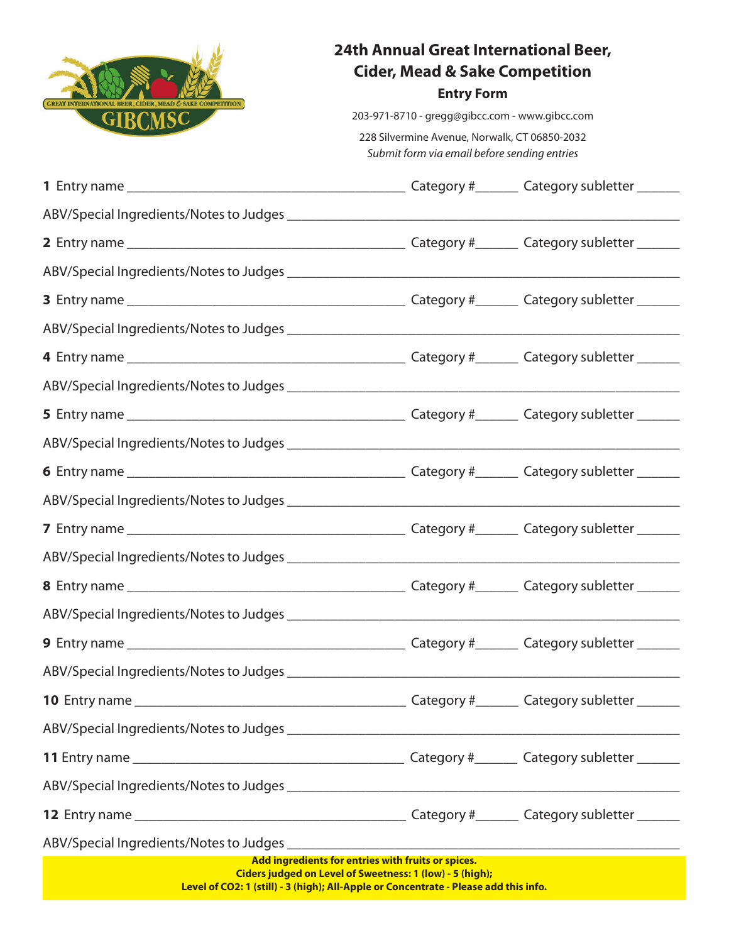

# **24th Annual Great International Beer, Cider, Mead & Sake Competition**

### **Entry Form**

203-971-8710 - gregg@gibcc.com - www.gibcc.com

228 Silvermine Avenue, Norwalk, CT 06850-2032 *Submit form via email before sending entries*

| Add ingredients for entries with fruits or spices.<br>Ciders judged on Level of Sweetness: 1 (low) - 5 (high);<br>Level of CO2: 1 (still) - 3 (high); All-Apple or Concentrate - Please add this info. |  |  |  |  |  |
|--------------------------------------------------------------------------------------------------------------------------------------------------------------------------------------------------------|--|--|--|--|--|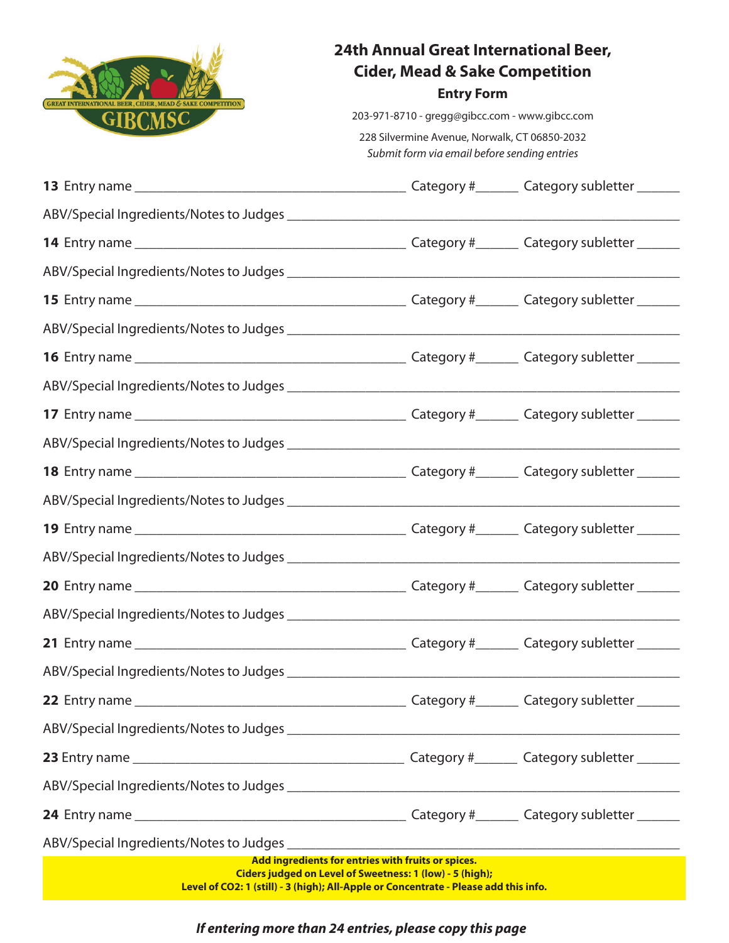

# **24th Annual Great International Beer, Cider, Mead & Sake Competition**

# **Entry Form**

203-971-8710 - gregg@gibcc.com - www.gibcc.com

228 Silvermine Avenue, Norwalk, CT 06850-2032 *Submit form via email before sending entries*

| ABV/Special Ingredients/Notes to Judges experience and the set of the set of the set of the set of the set of the set of the set of the set of the set of the set of the set of the set of the set of the set of the set of th |  |  |  |  |  |
|--------------------------------------------------------------------------------------------------------------------------------------------------------------------------------------------------------------------------------|--|--|--|--|--|
|                                                                                                                                                                                                                                |  |  |  |  |  |
|                                                                                                                                                                                                                                |  |  |  |  |  |
|                                                                                                                                                                                                                                |  |  |  |  |  |
|                                                                                                                                                                                                                                |  |  |  |  |  |
| Add ingredients for entries with fruits or spices.<br>Ciders judged on Level of Sweetness: 1 (low) - 5 (high);<br>Level of CO2: 1 (still) - 3 (high); All-Apple or Concentrate - Please add this info.                         |  |  |  |  |  |

*If entering more than 24 entries, please copy this page*